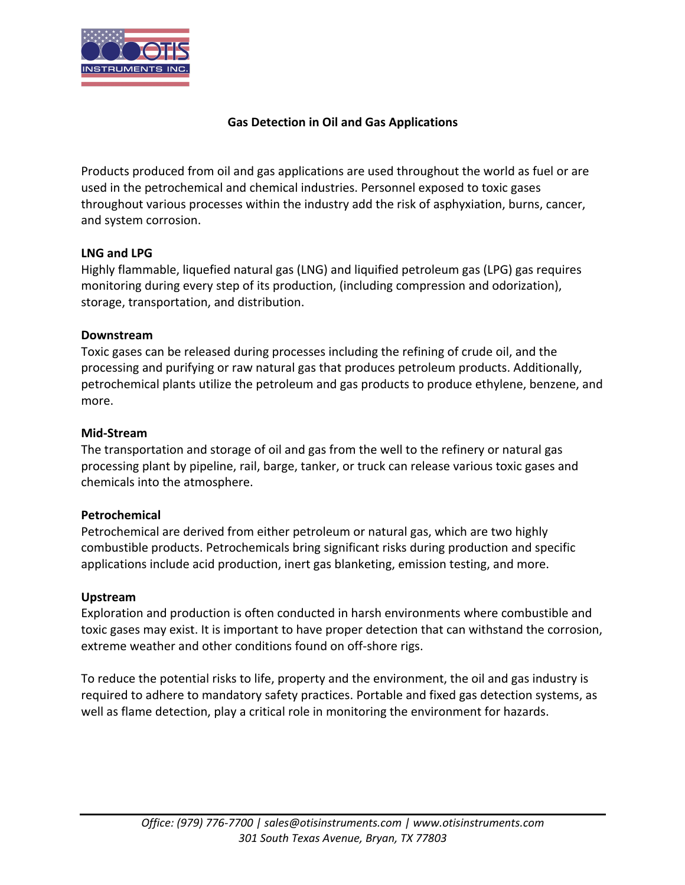

# **Gas Detection in Oil and Gas Applications**

Products produced from oil and gas applications are used throughout the world as fuel or are used in the petrochemical and chemical industries. Personnel exposed to toxic gases throughout various processes within the industry add the risk of asphyxiation, burns, cancer, and system corrosion.

## **LNG and LPG**

Highly flammable, liquefied natural gas (LNG) and liquified petroleum gas (LPG) gas requires monitoring during every step of its production, (including compression and odorization), storage, transportation, and distribution.

### **Downstream**

Toxic gases can be released during processes including the refining of crude oil, and the processing and purifying or raw natural gas that produces petroleum products. Additionally, petrochemical plants utilize the petroleum and gas products to produce ethylene, benzene, and more.

### **Mid-Stream**

The transportation and storage of oil and gas from the well to the refinery or natural gas processing plant by pipeline, rail, barge, tanker, or truck can release various toxic gases and chemicals into the atmosphere.

## **Petrochemical**

Petrochemical are derived from either petroleum or natural gas, which are two highly combustible products. Petrochemicals bring significant risks during production and specific applications include acid production, inert gas blanketing, emission testing, and more.

## **Upstream**

Exploration and production is often conducted in harsh environments where combustible and toxic gases may exist. It is important to have proper detection that can withstand the corrosion, extreme weather and other conditions found on off-shore rigs.

To reduce the potential risks to life, property and the environment, the oil and gas industry is required to adhere to mandatory safety practices. Portable and fixed gas detection systems, as well as flame detection, play a critical role in monitoring the environment for hazards.